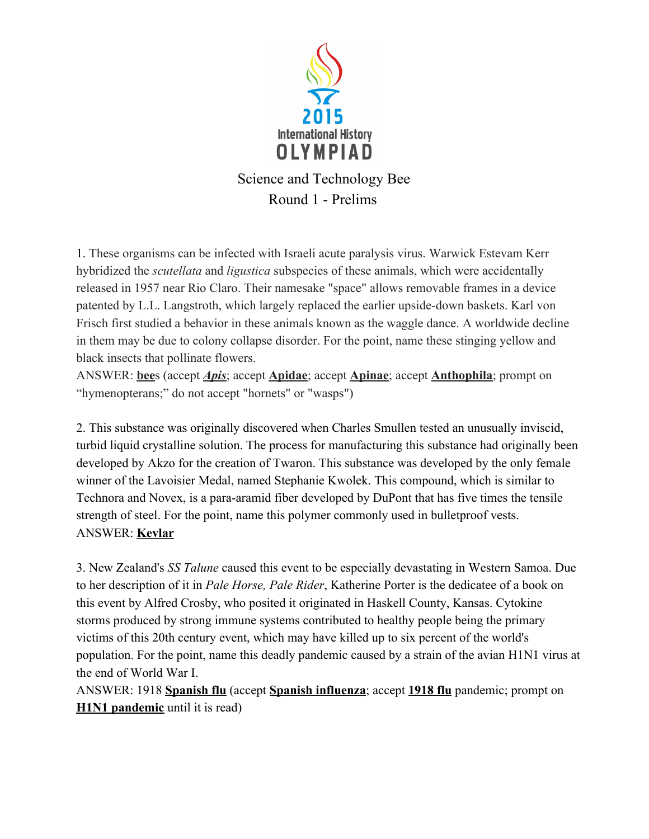

1. These organisms can be infected with Israeli acute paralysis virus. Warwick Estevam Kerr hybridized the *scutellata* and *ligustica* subspecies of these animals, which were accidentally released in 1957 near Rio Claro. Their namesake "space" allows removable frames in a device patented by L.L. Langstroth, which largely replaced the earlier upside-down baskets. Karl von Frisch first studied a behavior in these animals known as the waggle dance. A worldwide decline in them may be due to colony collapse disorder. For the point, name these stinging yellow and black insects that pollinate flowers.

ANSWER: bees (accept *Apis*; accept **Apidae**; accept **Apinae**; accept **Anthophila**; prompt on "hymenopterans;" do not accept "hornets" or "wasps")

2. This substance was originally discovered when Charles Smullen tested an unusually inviscid, turbid liquid crystalline solution. The process for manufacturing this substance had originally been developed by Akzo for the creation of Twaron. This substance was developed by the only female winner of the Lavoisier Medal, named Stephanie Kwolek. This compound, which is similar to Technora and Novex, is a para-aramid fiber developed by DuPont that has five times the tensile strength of steel. For the point, name this polymer commonly used in bulletproof vests. ANSWER: Kevlar

3. New Zealand's SS Talune caused this event to be especially devastating in Western Samoa. Due to her description of it in Pale Horse, Pale Rider, Katherine Porter is the dedicatee of a book on this event by Alfred Crosby, who posited it originated in Haskell County, Kansas. Cytokine storms produced by strong immune systems contributed to healthy people being the primary victims of this 20th century event, which may have killed up to six percent of the world's population. For the point, name this deadly pandemic caused by a strain of the avian H1N1 virus at the end of World War I.

ANSWER: 1918 Spanish flu (accept Spanish influenza; accept 1918 flu pandemic; prompt on **H1N1** pandemic until it is read)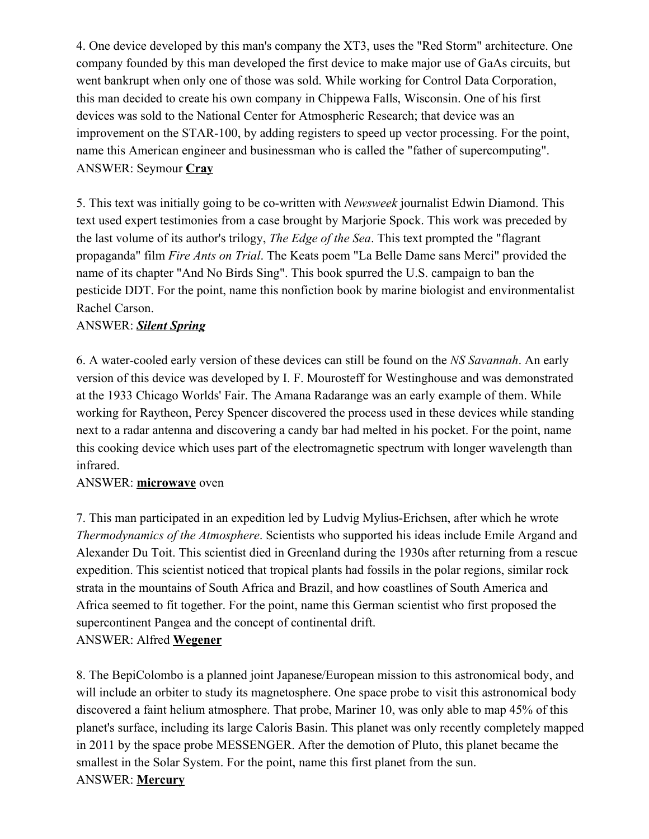4. One device developed by this man's company the XT3, uses the "Red Storm" architecture. One company founded by this man developed the first device to make major use of GaAs circuits, but went bankrupt when only one of those was sold. While working for Control Data Corporation, this man decided to create his own company in Chippewa Falls, Wisconsin. One of his first devices was sold to the National Center for Atmospheric Research; that device was an improvement on the STAR-100, by adding registers to speed up vector processing. For the point, name this American engineer and businessman who is called the "father of supercomputing". ANSWER: Seymour Cray

5. This text was initially going to be co-written with *Newsweek* journalist Edwin Diamond. This text used expert testimonies from a case brought by Marjorie Spock. This work was preceded by the last volume of its author's trilogy, *The Edge of the Sea*. This text prompted the "flagrant" propaganda" film Fire Ants on Trial. The Keats poem "La Belle Dame sans Merci" provided the name of its chapter "And No Birds Sing". This book spurred the U.S. campaign to ban the pesticide DDT. For the point, name this nonfiction book by marine biologist and environmentalist Rachel Carson.

# ANSWER: Silent Spring

6. A water-cooled early version of these devices can still be found on the NS Savannah. An early version of this device was developed by I. F. Mourosteff for Westinghouse and was demonstrated at the 1933 Chicago Worlds' Fair. The Amana Radarange was an early example of them. While working for Raytheon, Percy Spencer discovered the process used in these devices while standing next to a radar antenna and discovering a candy bar had melted in his pocket. For the point, name this cooking device which uses part of the electromagnetic spectrum with longer wavelength than infrared.

### ANSWER: microwave oven

7. This man participated in an expedition led by Ludvig Mylius-Erichsen, after which he wrote Thermodynamics of the Atmosphere. Scientists who supported his ideas include Emile Argand and Alexander Du Toit. This scientist died in Greenland during the 1930s after returning from a rescue expedition. This scientist noticed that tropical plants had fossils in the polar regions, similar rock strata in the mountains of South Africa and Brazil, and how coastlines of South America and Africa seemed to fit together. For the point, name this German scientist who first proposed the supercontinent Pangea and the concept of continental drift. ANSWER: Alfred Wegener

8. The BepiColombo is a planned joint Japanese/European mission to this astronomical body, and will include an orbiter to study its magnetosphere. One space probe to visit this astronomical body discovered a faint helium atmosphere. That probe, Mariner 10, was only able to map 45% of this planet's surface, including its large Caloris Basin. This planet was only recently completely mapped in 2011 by the space probe MESSENGER. After the demotion of Pluto, this planet became the smallest in the Solar System. For the point, name this first planet from the sun. ANSWER: Mercury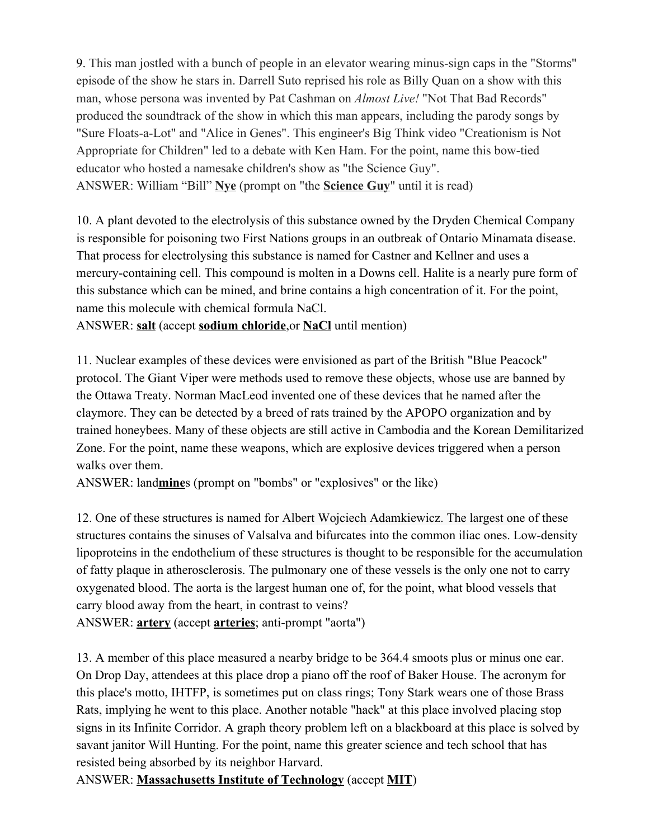9. This man jostled with a bunch of people in an elevator wearing minussign caps in the "Storms" episode of the show he stars in. Darrell Suto reprised his role as Billy Quan on a show with this man, whose persona was invented by Pat Cashman on *Almost Live!* "Not That Bad Records" produced the soundtrack of the show in which this man appears, including the parody songs by "Sure Floats-a-Lot" and "Alice in Genes". This engineer's Big Think video "Creationism is Not Appropriate for Children" led to a debate with Ken Ham. For the point, name this bow-tied educator who hosted a namesake children's show as "the Science Guy". ANSWER: William "Bill" Nve (prompt on "the Science Guy" until it is read)

10. A plant devoted to the electrolysis of this substance owned by the Dryden Chemical Company is responsible for poisoning two First Nations groups in an outbreak of Ontario Minamata disease. That process for electrolysing this substance is named for Castner and Kellner and uses a mercury-containing cell. This compound is molten in a Downs cell. Halite is a nearly pure form of this substance which can be mined, and brine contains a high concentration of it. For the point, name this molecule with chemical formula NaCl.

ANSWER: salt (accept sodium chloride, or NaCl until mention)

11. Nuclear examples of these devices were envisioned as part of the British "Blue Peacock" protocol. The Giant Viper were methods used to remove these objects, whose use are banned by the Ottawa Treaty. Norman MacLeod invented one of these devices that he named after the claymore. They can be detected by a breed of rats trained by the APOPO organization and by trained honeybees. Many of these objects are still active in Cambodia and the Korean Demilitarized Zone. For the point, name these weapons, which are explosive devices triggered when a person walks over them.

ANSWER: landmines (prompt on "bombs" or "explosives" or the like)

12. One of these structures is named for Albert Wojciech Adamkiewicz. The largest one of these structures contains the sinuses of Valsalva and bifurcates into the common iliac ones. Low-density lipoproteins in the endothelium of these structures is thought to be responsible for the accumulation of fatty plaque in atherosclerosis. The pulmonary one of these vessels is the only one not to carry oxygenated blood. The aorta is the largest human one of, for the point, what blood vessels that carry blood away from the heart, in contrast to veins?

ANSWER: **artery** (accept **arteries**; anti-prompt "aorta")

13. A member of this place measured a nearby bridge to be 364.4 smoots plus or minus one ear. On Drop Day, attendees at this place drop a piano off the roof of Baker House. The acronym for this place's motto, IHTFP, is sometimes put on class rings; Tony Stark wears one of those Brass Rats, implying he went to this place. Another notable "hack" at this place involved placing stop signs in its Infinite Corridor. A graph theory problem left on a blackboard at this place is solved by savant janitor Will Hunting. For the point, name this greater science and tech school that has resisted being absorbed by its neighbor Harvard.

ANSWER: Massachusetts Institute of Technology (accept MIT)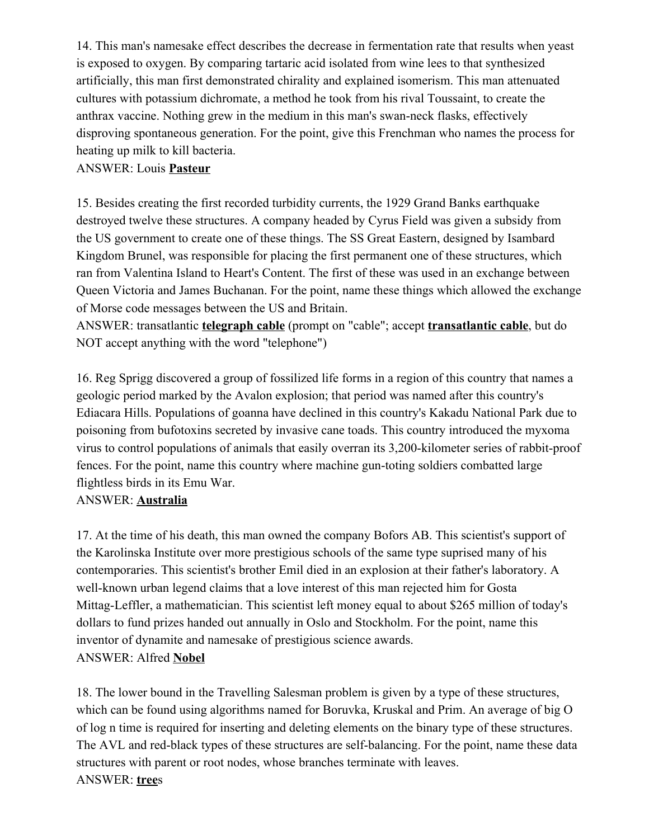14. This man's namesake effect describes the decrease in fermentation rate that results when yeast is exposed to oxygen. By comparing tartaric acid isolated from wine lees to that synthesized artificially, this man first demonstrated chirality and explained isomerism. This man attenuated cultures with potassium dichromate, a method he took from his rival Toussaint, to create the anthrax vaccine. Nothing grew in the medium in this man's swan-neck flasks, effectively disproving spontaneous generation. For the point, give this Frenchman who names the process for heating up milk to kill bacteria.

### ANSWER: Louis Pasteur

15. Besides creating the first recorded turbidity currents, the 1929 Grand Banks earthquake destroyed twelve these structures. A company headed by Cyrus Field was given a subsidy from the US government to create one of these things. The SS Great Eastern, designed by Isambard Kingdom Brunel, was responsible for placing the first permanent one of these structures, which ran from Valentina Island to Heart's Content. The first of these was used in an exchange between Queen Victoria and James Buchanan. For the point, name these things which allowed the exchange of Morse code messages between the US and Britain.

ANSWER: transatlantic **telegraph cable** (prompt on "cable"; accept **transatlantic cable**, but do NOT accept anything with the word "telephone")

16. Reg Sprigg discovered a group of fossilized life forms in a region of this country that names a geologic period marked by the Avalon explosion; that period was named after this country's Ediacara Hills. Populations of goanna have declined in this country's Kakadu National Park due to poisoning from bufotoxins secreted by invasive cane toads. This country introduced the myxoma virus to control populations of animals that easily overran its 3,200-kilometer series of rabbit-proof fences. For the point, name this country where machine gun-toting soldiers combatted large flightless birds in its Emu War.

# ANSWER: Australia

17. At the time of his death, this man owned the company Bofors AB. This scientist's support of the Karolinska Institute over more prestigious schools of the same type suprised many of his contemporaries. This scientist's brother Emil died in an explosion at their father's laboratory. A well-known urban legend claims that a love interest of this man rejected him for Gosta Mittag-Leffler, a mathematician. This scientist left money equal to about \$265 million of today's dollars to fund prizes handed out annually in Oslo and Stockholm. For the point, name this inventor of dynamite and namesake of prestigious science awards. ANSWER: Alfred Nobel

18. The lower bound in the Travelling Salesman problem is given by a type of these structures, which can be found using algorithms named for Boruvka, Kruskal and Prim. An average of big O of log n time is required for inserting and deleting elements on the binary type of these structures. The AVL and red-black types of these structures are self-balancing. For the point, name these data structures with parent or root nodes, whose branches terminate with leaves. ANSWER: trees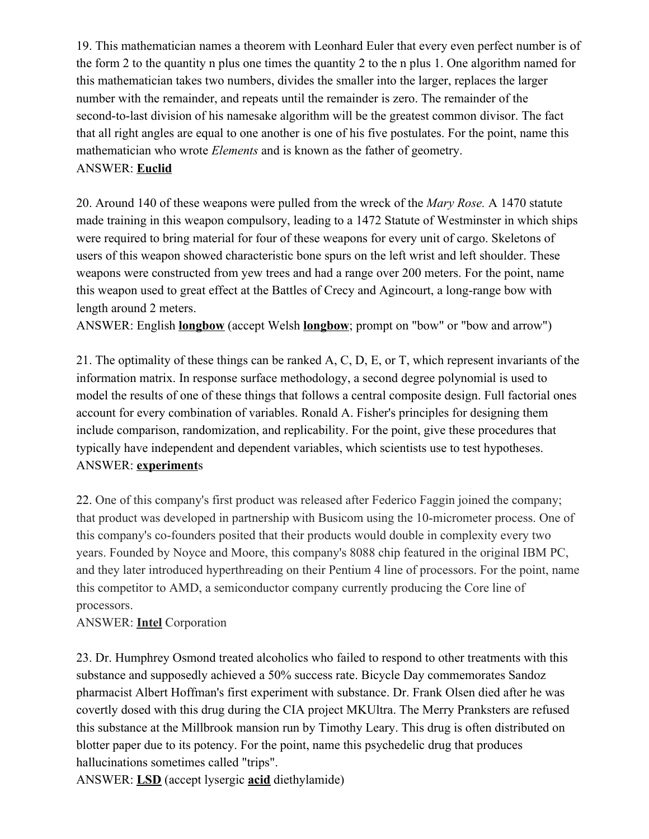19. This mathematician names a theorem with Leonhard Euler that every even perfect number is of the form 2 to the quantity n plus one times the quantity 2 to the n plus 1. One algorithm named for this mathematician takes two numbers, divides the smaller into the larger, replaces the larger number with the remainder, and repeats until the remainder is zero. The remainder of the second-to-last division of his namesake algorithm will be the greatest common divisor. The fact that all right angles are equal to one another is one of his five postulates. For the point, name this mathematician who wrote Elements and is known as the father of geometry. ANSWER: Euclid

20. Around 140 of these weapons were pulled from the wreck of the Mary Rose. A 1470 statute made training in this weapon compulsory, leading to a 1472 Statute of Westminster in which ships were required to bring material for four of these weapons for every unit of cargo. Skeletons of users of this weapon showed characteristic bone spurs on the left wrist and left shoulder. These weapons were constructed from yew trees and had a range over 200 meters. For the point, name this weapon used to great effect at the Battles of Crecy and Agincourt, a long-range bow with length around 2 meters.

ANSWER: English **longbow** (accept Welsh **longbow**; prompt on "bow" or "bow and arrow")

21. The optimality of these things can be ranked A, C, D, E, or T, which represent invariants of the information matrix. In response surface methodology, a second degree polynomial is used to model the results of one of these things that follows a central composite design. Full factorial ones account for every combination of variables. Ronald A. Fisher's principles for designing them include comparison, randomization, and replicability. For the point, give these procedures that typically have independent and dependent variables, which scientists use to test hypotheses. ANSWER: experiments

22. One of this company's first product was released after Federico Faggin joined the company; that product was developed in partnership with Busicom using the 10-micrometer process. One of this company's co-founders posited that their products would double in complexity every two years. Founded by Noyce and Moore, this company's 8088 chip featured in the original IBM PC, and they later introduced hyperthreading on their Pentium 4 line of processors. For the point, name this competitor to AMD, a semiconductor company currently producing the Core line of processors.

# ANSWER: Intel Corporation

23. Dr. Humphrey Osmond treated alcoholics who failed to respond to other treatments with this substance and supposedly achieved a 50% success rate. Bicycle Day commemorates Sandoz pharmacist Albert Hoffman's first experiment with substance. Dr. Frank Olsen died after he was covertly dosed with this drug during the CIA project MKUltra. The Merry Pranksters are refused this substance at the Millbrook mansion run by Timothy Leary. This drug is often distributed on blotter paper due to its potency. For the point, name this psychedelic drug that produces hallucinations sometimes called "trips".

ANSWER: LSD (accept lysergic acid diethylamide)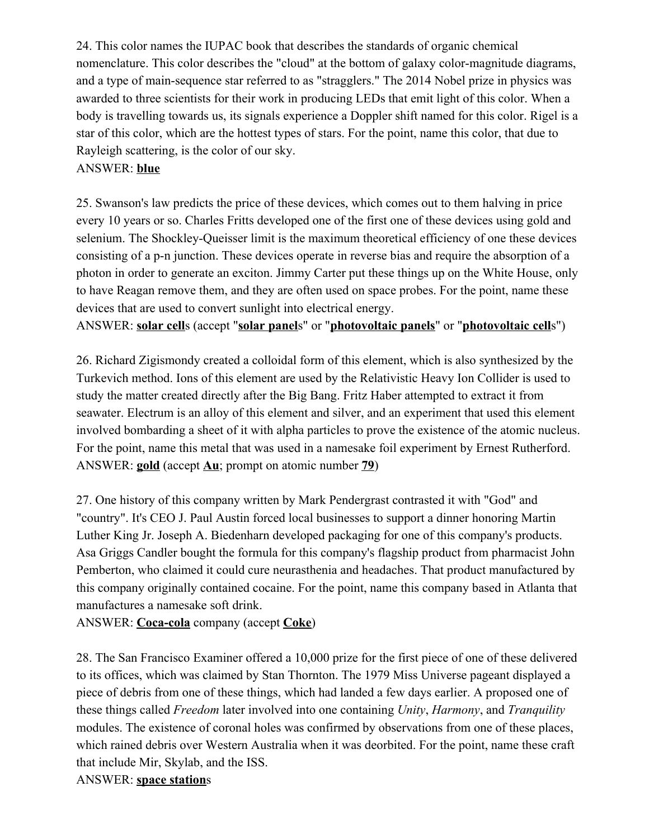24. This color names the IUPAC book that describes the standards of organic chemical nomenclature. This color describes the "cloud" at the bottom of galaxy color-magnitude diagrams, and a type of main-sequence star referred to as "stragglers." The 2014 Nobel prize in physics was awarded to three scientists for their work in producing LEDs that emit light of this color. When a body is travelling towards us, its signals experience a Doppler shift named for this color. Rigel is a star of this color, which are the hottest types of stars. For the point, name this color, that due to Rayleigh scattering, is the color of our sky.

# ANSWER: blue

25. Swanson's law predicts the price of these devices, which comes out to them halving in price every 10 years or so. Charles Fritts developed one of the first one of these devices using gold and selenium. The Shockley-Queisser limit is the maximum theoretical efficiency of one these devices consisting of a p-n junction. These devices operate in reverse bias and require the absorption of a photon in order to generate an exciton. Jimmy Carter put these things up on the White House, only to have Reagan remove them, and they are often used on space probes. For the point, name these devices that are used to convert sunlight into electrical energy.

ANSWER: solar cells (accept "solar panels" or "photovoltaic panels" or "photovoltaic cells")

26. Richard Zigismondy created a colloidal form of this element, which is also synthesized by the Turkevich method. Ions of this element are used by the Relativistic Heavy Ion Collider is used to study the matter created directly after the Big Bang. Fritz Haber attempted to extract it from seawater. Electrum is an alloy of this element and silver, and an experiment that used this element involved bombarding a sheet of it with alpha particles to prove the existence of the atomic nucleus. For the point, name this metal that was used in a namesake foil experiment by Ernest Rutherford. ANSWER: **gold** (accept  $\overline{\text{Au}}$ ; prompt on atomic number  $\overline{79}$ )

27. One history of this company written by Mark Pendergrast contrasted it with "God" and "country". It's CEO J. Paul Austin forced local businesses to support a dinner honoring Martin Luther King Jr. Joseph A. Biedenharn developed packaging for one of this company's products. Asa Griggs Candler bought the formula for this company's flagship product from pharmacist John Pemberton, who claimed it could cure neurasthenia and headaches. That product manufactured by this company originally contained cocaine. For the point, name this company based in Atlanta that manufactures a namesake soft drink.

ANSWER: Coca-cola company (accept Coke)

28. The San Francisco Examiner offered a 10,000 prize for the first piece of one of these delivered to its offices, which was claimed by Stan Thornton. The 1979 Miss Universe pageant displayed a piece of debris from one of these things, which had landed a few days earlier. A proposed one of these things called Freedom later involved into one containing Unity, Harmony, and Tranquility modules. The existence of coronal holes was confirmed by observations from one of these places, which rained debris over Western Australia when it was deorbited. For the point, name these craft that include Mir, Skylab, and the ISS.

### ANSWER: space stations